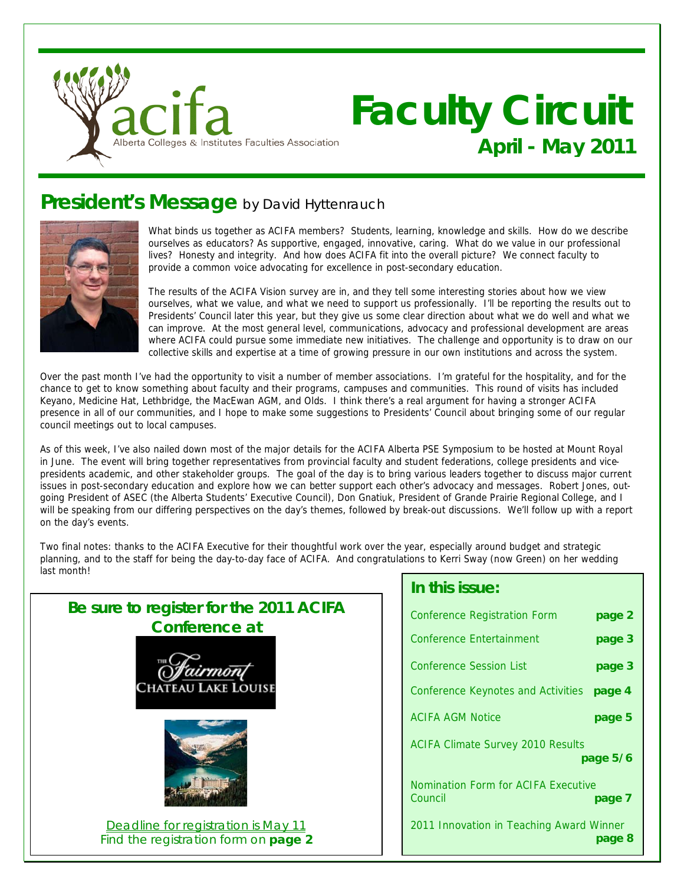

# **Faculty Circuit April - May 2011**

## **President's Message** by David Hyttenrauch



What binds us together as ACIFA members? Students, learning, knowledge and skills. How do we describe ourselves as educators? As supportive, engaged, innovative, caring. What do we value in our professional lives? Honesty and integrity. And how does ACIFA fit into the overall picture? We connect faculty to provide a common voice advocating for excellence in post-secondary education.

The results of the ACIFA Vision survey are in, and they tell some interesting stories about how we view ourselves, what we value, and what we need to support us professionally. I'll be reporting the results out to Presidents' Council later this year, but they give us some clear direction about what we do well and what we can improve. At the most general level, communications, advocacy and professional development are areas where ACIFA could pursue some immediate new initiatives. The challenge and opportunity is to draw on our collective skills and expertise at a time of growing pressure in our own institutions and across the system.

Over the past month I've had the opportunity to visit a number of member associations. I'm grateful for the hospitality, and for the chance to get to know something about faculty and their programs, campuses and communities. This round of visits has included Keyano, Medicine Hat, Lethbridge, the MacEwan AGM, and Olds. I think there's a real argument for having a stronger ACIFA presence in all of our communities, and I hope to make some suggestions to Presidents' Council about bringing some of our regular council meetings out to local campuses.

As of this week, I've also nailed down most of the major details for the ACIFA Alberta PSE Symposium to be hosted at Mount Royal in June. The event will bring together representatives from provincial faculty and student federations, college presidents and vicepresidents academic, and other stakeholder groups. The goal of the day is to bring various leaders together to discuss major current issues in post-secondary education and explore how we can better support each other's advocacy and messages. Robert Jones, outgoing President of ASEC (the Alberta Students' Executive Council), Don Gnatiuk, President of Grande Prairie Regional College, and I will be speaking from our differing perspectives on the day's themes, followed by break-out discussions. We'll follow up with a report on the day's events.

Two final notes: thanks to the ACIFA Executive for their thoughtful work over the year, especially around budget and strategic planning, and to the staff for being the day-to-day face of ACIFA. And congratulations to Kerri Sway (now Green) on her wedding last month!



### **In this issue:**

| Conference Registration Form                   | page 2   |
|------------------------------------------------|----------|
| Conference Entertainment                       | page 3   |
| Conference Session List                        | page 3   |
| <b>Conference Keynotes and Activities</b>      | page 4   |
| <b>ACIFA AGM Notice</b>                        | page 5   |
| <b>ACIFA Climate Survey 2010 Results</b>       | page 5/6 |
| Nomination Form for ACIFA Executive<br>Council | page 7   |
| 2011 Innovation in Teaching Award Winner       | page 8   |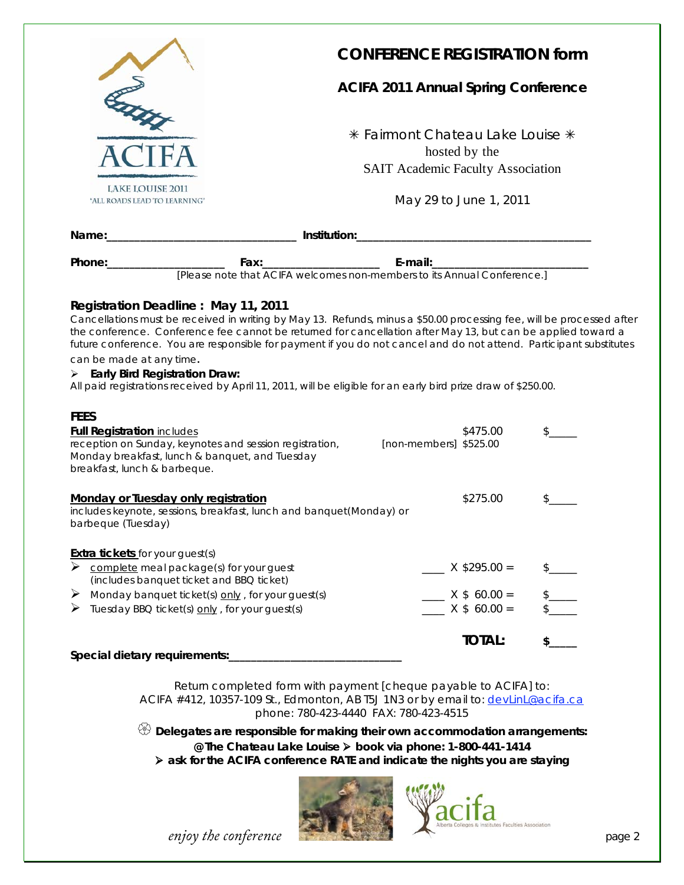

## **CONFERENCE REGISTRATION form**

#### **ACIFA 2011 Annual Spring Conference**

**\* Fairmont Chateau Lake Louise \*** hosted by the SAIT Academic Faculty Association

May 29 to June 1, 2011

| Name:_____________                                                         |                                                                                    | <b>Institution:</b> the contract of the contract of the contract of the contract of the contract of the contract of the contract of the contract of the contract of the contract of the contract of the contract of the contract of                                                                                                                         |  |  |  |  |  |  |
|----------------------------------------------------------------------------|------------------------------------------------------------------------------------|-------------------------------------------------------------------------------------------------------------------------------------------------------------------------------------------------------------------------------------------------------------------------------------------------------------------------------------------------------------|--|--|--|--|--|--|
| Phone:___________________                                                  | E-mail:<br>[Please note that ACIFA welcomes non-members to its Annual Conference.] |                                                                                                                                                                                                                                                                                                                                                             |  |  |  |  |  |  |
|                                                                            | Registration Deadline: May 11, 2011                                                | Cancellations must be received in writing by May 13. Refunds, minus a \$50.00 processing fee, will be processed after<br>the conference. Conference fee cannot be returned for cancellation after May 13, but can be applied toward a<br>future conference. You are responsible for payment if you do not cancel and do not attend. Participant substitutes |  |  |  |  |  |  |
| can be made at any time.<br>$\triangleright$ Early Bird Registration Draw: |                                                                                    |                                                                                                                                                                                                                                                                                                                                                             |  |  |  |  |  |  |

All paid registrations received by April 11, 2011, will be eligible for an early bird prize draw of \$250.00.

| \$475.00<br><b>Full Registration includes</b><br>reception on Sunday, keynotes and session registration,<br>[non-members] \$525.00<br>Monday breakfast, lunch & banquet, and Tuesday<br>breakfast, lunch & barbeque. |  |
|----------------------------------------------------------------------------------------------------------------------------------------------------------------------------------------------------------------------|--|
|                                                                                                                                                                                                                      |  |
|                                                                                                                                                                                                                      |  |
|                                                                                                                                                                                                                      |  |
|                                                                                                                                                                                                                      |  |
|                                                                                                                                                                                                                      |  |
| \$275.00<br><b>Monday or Tuesday only registration</b>                                                                                                                                                               |  |
| includes keynote, sessions, breakfast, lunch and banquet(Monday) or<br>barbeque (Tuesday)                                                                                                                            |  |
|                                                                                                                                                                                                                      |  |
| <b>Extra tickets</b> for your guest(s)                                                                                                                                                                               |  |
| $X$ \$295.00 =<br>complete meal package(s) for your guest                                                                                                                                                            |  |
| (includes banquet ticket and BBQ ticket)                                                                                                                                                                             |  |
| $X$ \$ 60.00 =<br>➤<br>Monday banquet ticket(s) only, for your guest(s)                                                                                                                                              |  |
| $X$ \$ 60.00 =<br>Tuesday BBQ ticket(s) only, for your guest(s)                                                                                                                                                      |  |
| <b>TOTAL:</b>                                                                                                                                                                                                        |  |
| Special dietary requirements:                                                                                                                                                                                        |  |

Return completed form with payment [cheque payable to ACIFA] to: ACIFA #412, 10357-109 St., Edmonton, AB T5J 1N3 or by email to: devlinL@acifa.ca phone: 780-423-4440 FAX: 780-423-4515

 $\circledR$  **Delegates are responsible for making their own accommodation arrangements: @ The Chateau Lake Louise book via phone: 1-800-441-1414 ask for the ACIFA conference RATE and indicate the nights you are staying** 



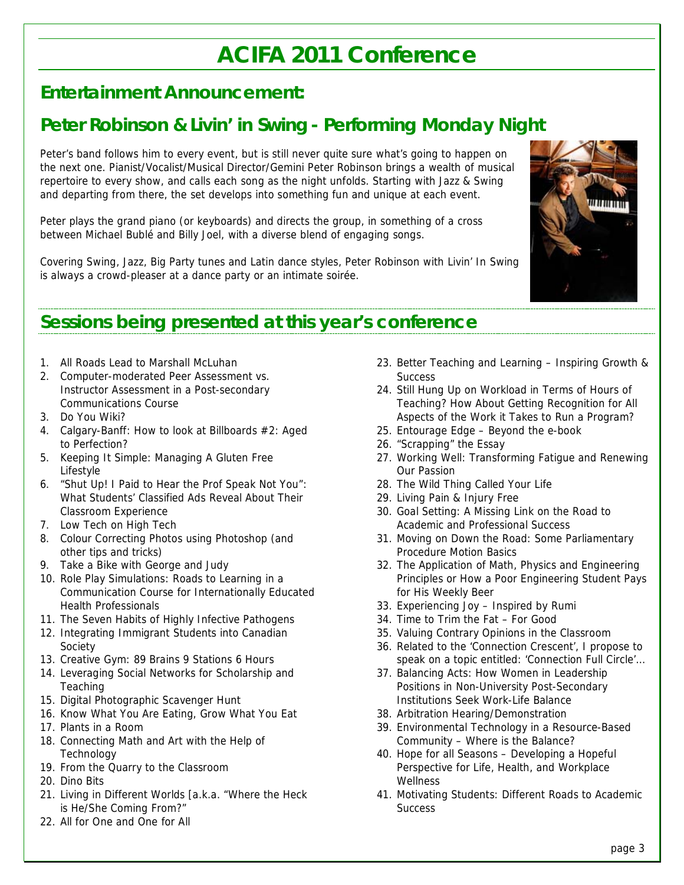## **ACIFA 2011 Conference**

## **Entertainment Announcement:**

## **Peter Robinson & Livin' in Swing - Performing Monday Night**

Peter's band follows him to every event, but is still never quite sure what's going to happen on the next one. Pianist/Vocalist/Musical Director/Gemini Peter Robinson brings a wealth of musical repertoire to every show, and calls each song as the night unfolds. Starting with Jazz & Swing and departing from there, the set develops into something fun and unique at each event.

Peter plays the grand piano (or keyboards) and directs the group, in something of a cross between Michael Bublé and Billy Joel, with a diverse blend of engaging songs.

Covering Swing, Jazz, Big Party tunes and Latin dance styles, Peter Robinson with Livin' In Swing is always a crowd-pleaser at a dance party or an intimate soirée.



## **Sessions being presented at this year's conference**

- 1. All Roads Lead to Marshall McLuhan
- 2. Computer-moderated Peer Assessment vs. Instructor Assessment in a Post-secondary Communications Course
- 3. Do You Wiki?
- 4. Calgary-Banff: How to look at Billboards #2: Aged to Perfection?
- 5. Keeping It Simple: Managing A Gluten Free Lifestyle
- 6. "Shut Up! I Paid to Hear the Prof Speak Not You": What Students' Classified Ads Reveal About Their Classroom Experience
- 7. Low Tech on High Tech
- 8. Colour Correcting Photos using Photoshop (and other tips and tricks)
- 9. Take a Bike with George and Judy
- 10. Role Play Simulations: Roads to Learning in a Communication Course for Internationally Educated Health Professionals
- 11. The Seven Habits of Highly Infective Pathogens
- 12. Integrating Immigrant Students into Canadian Society
- 13. Creative Gym: 89 Brains 9 Stations 6 Hours
- 14. Leveraging Social Networks for Scholarship and **Teaching**
- 15. Digital Photographic Scavenger Hunt
- 16. Know What You Are Eating, Grow What You Eat
- 17. Plants in a Room
- 18. Connecting Math and Art with the Help of Technology
- 19. From the Quarry to the Classroom
- 20. Dino Bits
- 21. Living in Different Worlds [a.k.a. "Where the Heck is He/She Coming From?"
- 22. All for One and One for All
- 23. Better Teaching and Learning Inspiring Growth & **Success**
- 24. Still Hung Up on Workload in Terms of Hours of Teaching? How About Getting Recognition for All Aspects of the Work it Takes to Run a Program?
- 25. Entourage Edge Beyond the e-book
- 26. "Scrapping" the Essay
- 27. Working Well: Transforming Fatigue and Renewing Our Passion
- 28. The Wild Thing Called Your Life
- 29. Living Pain & Injury Free
- 30. Goal Setting: A Missing Link on the Road to Academic and Professional Success
- 31. Moving on Down the Road: Some Parliamentary Procedure Motion Basics
- 32. The Application of Math, Physics and Engineering Principles or How a Poor Engineering Student Pays for His Weekly Beer
- 33. Experiencing Joy Inspired by Rumi
- 34. Time to Trim the Fat For Good
- 35. Valuing Contrary Opinions in the Classroom
- 36. Related to the 'Connection Crescent', I propose to speak on a topic entitled: 'Connection Full Circle'...
- 37. Balancing Acts: How Women in Leadership Positions in Non-University Post-Secondary Institutions Seek Work-Life Balance
- 38. Arbitration Hearing/Demonstration
- 39. Environmental Technology in a Resource-Based Community – Where is the Balance?
- 40. Hope for all Seasons Developing a Hopeful Perspective for Life, Health, and Workplace **Wellness**
- 41. Motivating Students: Different Roads to Academic **Success**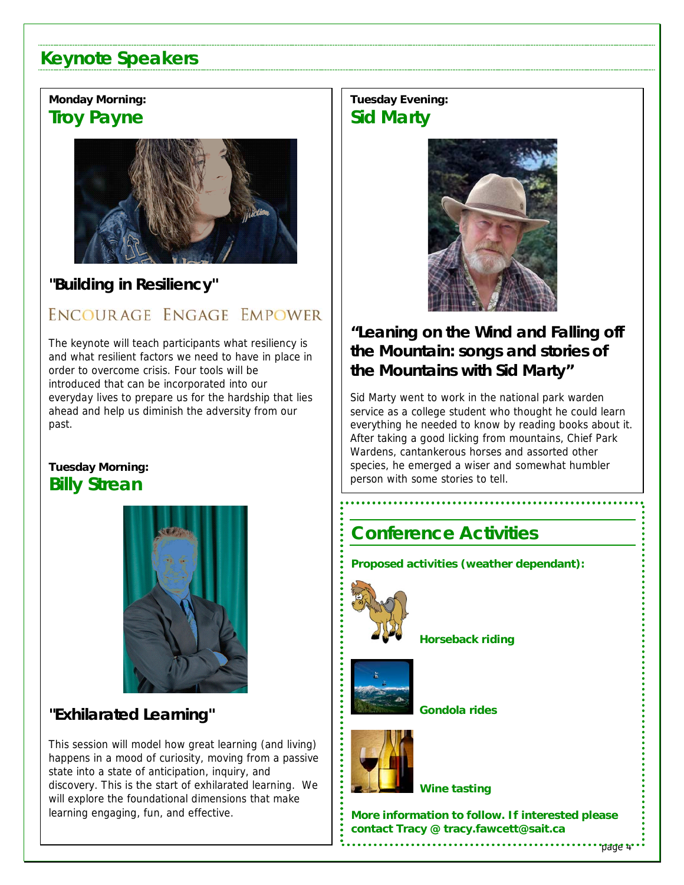## **Keynote Speakers**

## **Monday Morning: Troy Payne**



## **"Building in Resiliency"**

## ENCOURAGE ENGAGE EMPOWER

The keynote will teach participants what resiliency is and what resilient factors we need to have in place in order to overcome crisis. Four tools will be introduced that can be incorporated into our everyday lives to prepare us for the hardship that lies ahead and help us diminish the adversity from our past.

### **Tuesday Morning: Billy Strean**



## **"Exhilarated Learning"**

This session will model how great learning (and living) happens in a mood of curiosity, moving from a passive state into a state of anticipation, inquiry, and discovery. This is the start of exhilarated learning. We will explore the foundational dimensions that make learning engaging, fun, and effective.

## **Tuesday Evening: Sid Marty**



## **"Leaning on the Wind and Falling off the Mountain: songs and stories of the Mountains with Sid Marty"**

Sid Marty went to work in the national park warden service as a college student who thought he could learn everything he needed to know by reading books about it. After taking a good licking from mountains, Chief Park Wardens, cantankerous horses and assorted other species, he emerged a wiser and somewhat humbler person with some stories to tell.

## **Conference Activities**

**Proposed activities (weather dependant):** 



**Horseback riding** 



 **Gondola rides** 



 **Wine tasting** 

**example 2** contact Tracy @ tracy.fawcett@sait.ca  $\vdots$ **More information to follow. If interested please** 

page 4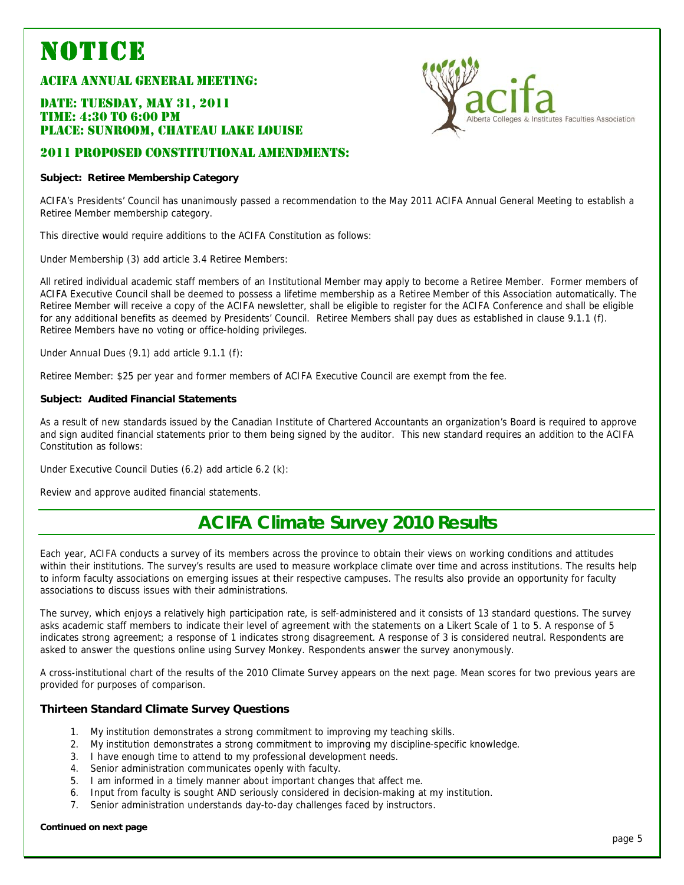# **NOTICE**<br>ACIFA ANNUAL GENERAL MEETING:

#### DATE: TUESDAY, MAY 31, 2011 TIME: 4:30 TO 6:00 PM PLACE: SUNROOM, CHATEAU LAKE LOUISE

#### 2011 PROPOSED CONSTITUTIONAL AMENDMENTS:

#### **Subject: Retiree Membership Category**

ACIFA's Presidents' Council has unanimously passed a recommendation to the May 2011 ACIFA Annual General Meeting to establish a Retiree Member membership category.

This directive would require additions to the ACIFA Constitution as follows:

Under Membership (3) add article 3.4 Retiree Members:

All retired individual academic staff members of an Institutional Member may apply to become a Retiree Member. Former members of ACIFA Executive Council shall be deemed to possess a lifetime membership as a Retiree Member of this Association automatically. The Retiree Member will receive a copy of the ACIFA newsletter, shall be eligible to register for the ACIFA Conference and shall be eligible for any additional benefits as deemed by Presidents' Council. Retiree Members shall pay dues as established in clause 9.1.1 (f). Retiree Members have no voting or office-holding privileges.

Under Annual Dues (9.1) add article 9.1.1 (f):

Retiree Member: \$25 per year and former members of ACIFA Executive Council are exempt from the fee.

#### **Subject: Audited Financial Statements**

As a result of new standards issued by the Canadian Institute of Chartered Accountants an organization's Board is required to approve and sign audited financial statements prior to them being signed by the auditor. This new standard requires an addition to the ACIFA Constitution as follows:

Under Executive Council Duties (6.2) add article 6.2 (k):

Review and approve audited financial statements.

## **ACIFA Climate Survey 2010 Results**

Each year, ACIFA conducts a survey of its members across the province to obtain their views on working conditions and attitudes within their institutions. The survey's results are used to measure workplace climate over time and across institutions. The results help to inform faculty associations on emerging issues at their respective campuses. The results also provide an opportunity for faculty associations to discuss issues with their administrations.

The survey, which enjoys a relatively high participation rate, is self-administered and it consists of 13 standard questions. The survey asks academic staff members to indicate their level of agreement with the statements on a Likert Scale of 1 to 5. A response of 5 indicates strong agreement; a response of 1 indicates strong disagreement. A response of 3 is considered neutral. Respondents are asked to answer the questions online using Survey Monkey. Respondents answer the survey anonymously.

A cross-institutional chart of the results of the 2010 Climate Survey appears on the next page. Mean scores for two previous years are provided for purposes of comparison.

#### **Thirteen Standard Climate Survey Questions**

- 1. My institution demonstrates a strong commitment to improving my teaching skills.
- 2. My institution demonstrates a strong commitment to improving my discipline-specific knowledge.
- 3. I have enough time to attend to my professional development needs.
- 4. Senior administration communicates openly with faculty.
- 5. I am informed in a timely manner about important changes that affect me.
- 6. Input from faculty is sought AND seriously considered in decision-making at my institution.
- 7. Senior administration understands day-to-day challenges faced by instructors.

#### **Continued on next page**

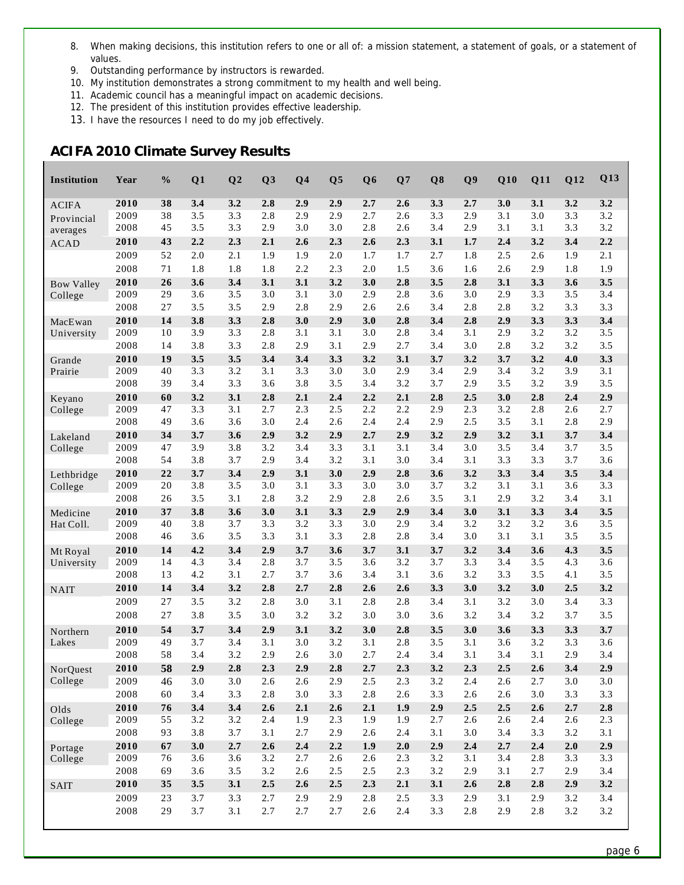- 8. When making decisions, this institution refers to one or all of: a mission statement, a statement of goals, or a statement of values.
- 9. Outstanding performance by instructors is rewarded.
- 10. My institution demonstrates a strong commitment to my health and well being.
- 11. Academic council has a meaningful impact on academic decisions.
- 12. The president of this institution provides effective leadership.
- 13. I have the resources I need to do my job effectively.

#### **ACIFA 2010 Climate Survey Results**

L

| Institution         | Year         | $\frac{0}{0}$ | Q1         | Q <sub>2</sub> | Q <sub>3</sub> | Q <sub>4</sub> | Q <sub>5</sub> | Q <sub>6</sub> | Q7         | Q8         | Q <sub>9</sub> | Q10        | Q11        | Q12        | Q13        |
|---------------------|--------------|---------------|------------|----------------|----------------|----------------|----------------|----------------|------------|------------|----------------|------------|------------|------------|------------|
| <b>ACIFA</b>        | 2010         | 38            | 3.4        | 3.2            | 2.8            | 2.9            | 2.9            | 2.7            | 2.6        | 3.3        | 2.7            | 3.0        | 3.1        | 3.2        | 3.2        |
| Provincial          | 2009         | 38            | 3.5        | 3.3            | 2.8            | 2.9            | 2.9            | 2.7            | 2.6        | 3.3        | 2.9            | 3.1        | 3.0        | 3.3        | 3.2        |
| averages            | 2008         | 45            | 3.5        | 3.3            | 2.9            | 3.0            | 3.0            | 2.8            | 2.6        | 3.4        | 2.9            | 3.1        | 3.1        | 3.3        | 3.2        |
| <b>ACAD</b>         | 2010         | 43            | 2.2        | 2.3            | 2.1            | 2.6            | 2.3            | 2.6            | 2.3        | 3.1        | 1.7            | 2.4        | 3.2        | 3.4        | 2.2        |
|                     | 2009         | 52            | 2.0        | 2.1            | 1.9            | 1.9            | 2.0            | 1.7            | 1.7        | 2.7        | 1.8            | 2.5        | 2.6        | 1.9        | 2.1        |
|                     | 2008         | 71            | 1.8        | 1.8            | 1.8            | 2.2            | 2.3            | 2.0            | 1.5        | 3.6        | 1.6            | 2.6        | 2.9        | 1.8        | 1.9        |
| <b>Bow Valley</b>   | 2010         | 26            | 3.6        | 3.4            | 3.1            | 3.1            | 3.2            | 3.0            | 2.8        | 3.5        | 2.8            | 3.1        | 3.3        | 3.6        | 3.5        |
| College             | 2009         | 29            | 3.6        | 3.5            | 3.0            | 3.1            | 3.0            | 2.9            | 2.8        | 3.6        | 3.0            | 2.9        | 3.3        | 3.5        | 3.4        |
|                     | 2008         | 27            | 3.5        | 3.5            | 2.9            | 2.8            | 2.9            | 2.6            | 2.6        | 3.4        | 2.8            | 2.8        | 3.2        | 3.3        | 3.3        |
| MacEwan             | 2010         | 14            | 3.8        | 3.3            | 2.8            | 3.0            | 2.9            | 3.0            | 2.8        | 3.4        | 2.8            | 2.9        | 3.3        | 3.3        | 3.4        |
| University          | 2009         | 10            | 3.9        | 3.3            | 2.8            | 3.1            | 3.1            | 3.0            | 2.8        | 3.4        | 3.1            | 2.9        | 3.2        | 3.2        | 3.5        |
|                     | 2008         | 14            | 3.8        | 3.3            | 2.8            | 2.9            | 3.1            | 2.9            | 2.7        | 3.4        | 3.0            | 2.8        | 3.2        | 3.2        | 3.5        |
| Grande              | 2010<br>2009 | 19<br>40      | 3.5<br>3.3 | 3.5<br>3.2     | 3.4<br>3.1     | 3.4<br>3.3     | 3.3<br>3.0     | 3.2<br>3.0     | 3.1<br>2.9 | 3.7<br>3.4 | 3.2<br>2.9     | 3.7<br>3.4 | 3.2<br>3.2 | 4.0<br>3.9 | 3.3<br>3.1 |
| Prairie             | 2008         | 39            | 3.4        | 3.3            | 3.6            | 3.8            | 3.5            | 3.4            | 3.2        | 3.7        | 2.9            | 3.5        | 3.2        | 3.9        | 3.5        |
|                     | 2010         | 60            | 3.2        | 3.1            | 2.8            | 2.1            | 2.4            | 2.2            | 2.1        | 2.8        | 2.5            | 3.0        | 2.8        | 2.4        | 2.9        |
| Keyano<br>College   | 2009         | 47            | 3.3        | 3.1            | 2.7            | 2.3            | 2.5            | 2.2            | 2.2        | 2.9        | 2.3            | 3.2        | 2.8        | 2.6        | 2.7        |
|                     | 2008         | 49            | 3.6        | 3.6            | 3.0            | 2.4            | 2.6            | 2.4            | 2.4        | 2.9        | 2.5            | 3.5        | 3.1        | 2.8        | 2.9        |
| Lakeland            | 2010         | 34            | 3.7        | 3.6            | 2.9            | 3.2            | 2.9            | 2.7            | 2.9        | 3.2        | 2.9            | 3.2        | 3.1        | 3.7        | 3.4        |
| College             | 2009         | 47            | 3.9        | 3.8            | 3.2            | 3.4            | 3.3            | 3.1            | 3.1        | 3.4        | 3.0            | 3.5        | 3.4        | 3.7        | 3.5        |
|                     | 2008         | 54            | 3.8        | 3.7            | 2.9            | 3.4            | 3.2            | 3.1            | 3.0        | 3.4        | 3.1            | 3.3        | 3.3        | 3.7        | 3.6        |
| Lethbridge          | 2010         | 22            | 3.7        | 3.4            | 2.9            | 3.1            | 3.0            | 2.9            | 2.8        | 3.6        | 3.2            | 3.3        | 3.4        | 3.5        | 3.4        |
| College             | 2009         | 20            | 3.8        | 3.5            | 3.0            | 3.1            | 3.3            | 3.0            | 3.0        | 3.7        | 3.2            | 3.1        | 3.1        | 3.6        | 3.3        |
|                     | 2008         | 26            | 3.5        | 3.1            | 2.8            | 3.2            | 2.9            | 2.8            | 2.6        | 3.5        | 3.1            | 2.9        | 3.2        | 3.4        | 3.1        |
| Medicine            | 2010         | 37            | 3.8        | 3.6            | 3.0            | 3.1            | 3.3            | 2.9            | 2.9        | 3.4        | 3.0            | 3.1        | 3.3        | 3.4        | 3.5        |
| Hat Coll.           | 2009         | 40            | 3.8        | 3.7            | 3.3            | 3.2            | 3.3            | 3.0            | 2.9        | 3.4        | 3.2            | 3.2        | 3.2        | 3.6        | 3.5        |
|                     | 2008         | 46            | 3.6        | 3.5            | 3.3            | 3.1            | 3.3            | 2.8            | 2.8        | 3.4        | 3.0            | 3.1        | 3.1        | 3.5        | 3.5        |
| Mt Royal            | 2010         | 14            | 4.2        | 3.4            | 2.9            | 3.7            | 3.6            | 3.7            | 3.1        | 3.7        | 3.2            | 3.4        | 3.6        | 4.3        | 3.5        |
| University          | 2009         | 14            | 4.3        | 3.4            | 2.8            | 3.7            | 3.5            | 3.6            | 3.2        | 3.7        | 3.3            | 3.4        | 3.5        | 4.3        | 3.6        |
|                     | 2008         | 13            | 4.2        | 3.1            | 2.7            | 3.7            | 3.6            | 3.4            | 3.1        | 3.6        | 3.2            | 3.3        | 3.5        | 4.1        | 3.5        |
| <b>NAIT</b>         | 2010         | 14<br>27      | 3.4        | 3.2            | 2.8            | 2.7            | 2.8            | 2.6            | 2.6        | 3.3        | 3.0            | 3.2        | 3.0        | 2.5        | 3.2        |
|                     | 2009         |               | 3.5        | 3.2            | 2.8            | 3.0            | 3.1            | 2.8            | 2.8        | 3.4        | 3.1            | 3.2        | 3.0<br>3.2 | 3.4        | 3.3        |
|                     | 2008         | 27            | 3.8        | 3.5            | 3.0            | 3.2            | 3.2            | 3.0            | 3.0        | 3.6        | 3.2            | 3.4        |            | 3.7        | 3.5        |
| Northern            | 2010<br>2009 | 54<br>49      | 3.7<br>3.7 | 3.4<br>3.4     | 2.9<br>3.1     | 3.1<br>3.0     | 3.2<br>3.2     | 3.0<br>3.1     | 2.8<br>2.8 | 3.5<br>3.5 | 3.0<br>3.1     | 3.6<br>3.6 | 3.3<br>3.2 | 3.3<br>3.3 | 3.7        |
| Lakes               | 2008         | 58            | 3.4        | 3.2            | 2.9            | 2.6            | 3.0            | 2.7            | 2.4        | 3.4        | 3.1            | 3.4        | 3.1        | 2.9        | 3.6<br>3.4 |
|                     | 2010         | 58            | 2.9        | $2.8$          | 2.3            | 2.9            | $2.8$          | 2.7            | 2.3        | 3.2        | 2.3            | 2.5        | 2.6        | 3.4        | 2.9        |
| NorQuest<br>College | 2009         | 46            | 3.0        | 3.0            | 2.6            | 2.6            | 2.9            | 2.5            | 2.3        | 3.2        | 2.4            | 2.6        | 2.7        | 3.0        | 3.0        |
|                     | 2008         | 60            | 3.4        | 3.3            | 2.8            | 3.0            | 3.3            | 2.8            | 2.6        | 3.3        | 2.6            | 2.6        | 3.0        | 3.3        | 3.3        |
| Olds                | 2010         | 76            | 3.4        | 3.4            | 2.6            | 2.1            | 2.6            | 2.1            | 1.9        | 2.9        | 2.5            | 2.5        | 2.6        | 2.7        | $2.8$      |
| College             | 2009         | 55            | 3.2        | 3.2            | 2.4            | 1.9            | 2.3            | 1.9            | 1.9        | 2.7        | 2.6            | 2.6        | 2.4        | 2.6        | 2.3        |
|                     | 2008         | 93            | 3.8        | 3.7            | 3.1            | 2.7            | 2.9            | 2.6            | 2.4        | 3.1        | 3.0            | 3.4        | 3.3        | 3.2        | 3.1        |
| Portage             | 2010         | 67            | 3.0        | 2.7            | 2.6            | 2.4            | 2.2            | 1.9            | 2.0        | 2.9        | 2.4            | 2.7        | 2.4        | 2.0        | 2.9        |
| College             | 2009         | 76            | 3.6        | 3.6            | 3.2            | 2.7            | 2.6            | $2.6$          | 2.3        | 3.2        | 3.1            | 3.4        | 2.8        | 3.3        | 3.3        |
|                     | 2008         | 69            | 3.6        | 3.5            | 3.2            | 2.6            | 2.5            | 2.5            | 2.3        | 3.2        | 2.9            | 3.1        | 2.7        | 2.9        | 3.4        |
| <b>SAIT</b>         | 2010         | 35            | 3.5        | 3.1            | $2.5\,$        | 2.6            | 2.5            | 2.3            | 2.1        | 3.1        | 2.6            | 2.8        | 2.8        | 2.9        | 3.2        |
|                     | 2009         | 23            | 3.7        | 3.3            | 2.7            | 2.9            | 2.9            | 2.8            | 2.5        | 3.3        | 2.9            | 3.1        | 2.9        | 3.2        | 3.4        |
|                     | 2008         | 29            | 3.7        | 3.1            | 2.7            | 2.7            | 2.7            | 2.6            | 2.4        | 3.3        | 2.8            | 2.9        | $2.8\,$    | 3.2        | 3.2        |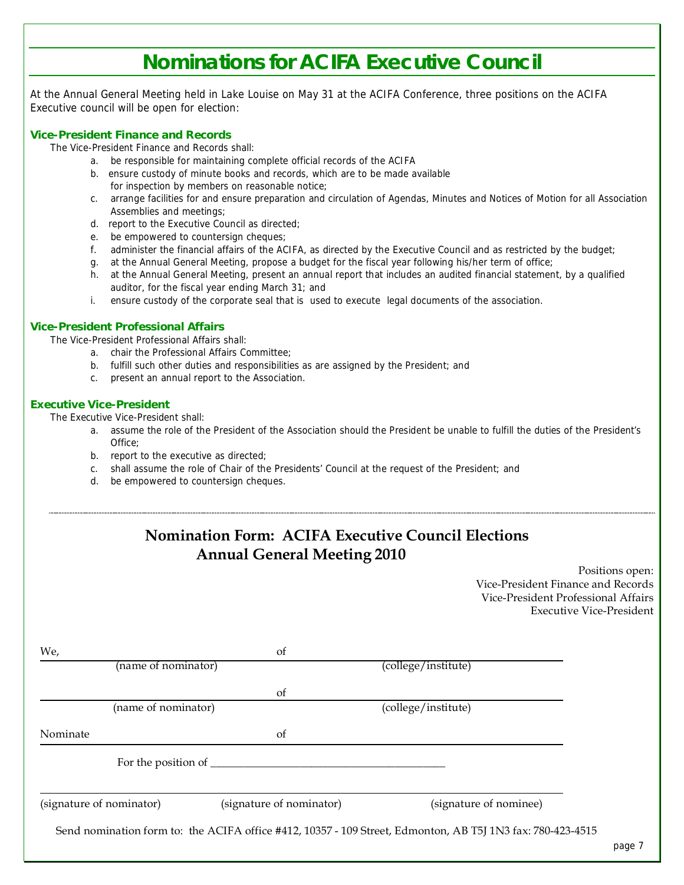## **Nominations for ACIFA Executive Council**

At the Annual General Meeting held in Lake Louise on May 31 at the ACIFA Conference, three positions on the ACIFA Executive council will be open for election:

#### **Vice-President Finance and Records**

The Vice-President Finance and Records shall:

- a. be responsible for maintaining complete official records of the ACIFA
- b. ensure custody of minute books and records, which are to be made available for inspection by members on reasonable notice;
- c. arrange facilities for and ensure preparation and circulation of Agendas, Minutes and Notices of Motion for all Association Assemblies and meetings;
- d. report to the Executive Council as directed;
- e. be empowered to countersign cheques;
- f. administer the financial affairs of the ACIFA, as directed by the Executive Council and as restricted by the budget;
- g. at the Annual General Meeting, propose a budget for the fiscal year following his/her term of office;
- h. at the Annual General Meeting, present an annual report that includes an audited financial statement, by a qualified auditor, for the fiscal year ending March 31; and
- i. ensure custody of the corporate seal that is used to execute legal documents of the association.

#### **Vice-President Professional Affairs**

The Vice-President Professional Affairs shall:

- a. chair the Professional Affairs Committee;
- b. fulfill such other duties and responsibilities as are assigned by the President; and
- c. present an annual report to the Association.

#### **Executive Vice-President**

The Executive Vice-President shall:

- a. assume the role of the President of the Association should the President be unable to fulfill the duties of the President's Office;
- b. report to the executive as directed;
- c. shall assume the role of Chair of the Presidents' Council at the request of the President; and
- d. be empowered to countersign cheques.

## **Nomination Form: ACIFA Executive Council Elections Annual General Meeting 2010** Positions open: Vice-President Finance and Records Vice-President Professional Affairs Executive Vice-President We, of We, (name of nominator) (college/institute) of (name of nominator) (college/institute) Nominate of For the position of  $\_\_$ (signature of nominator) (signature of nominator) (signature of nominee) Send nomination form to: the ACIFA office #412, 10357 - 109 Street, Edmonton, AB T5J 1N3 fax: 780-423-4515 page 7 and 2011 and 2012 and 2012 and 2012 and 2012 and 2012 and 2012 and 2012 and 2012 and 2012 and 2012 and 201